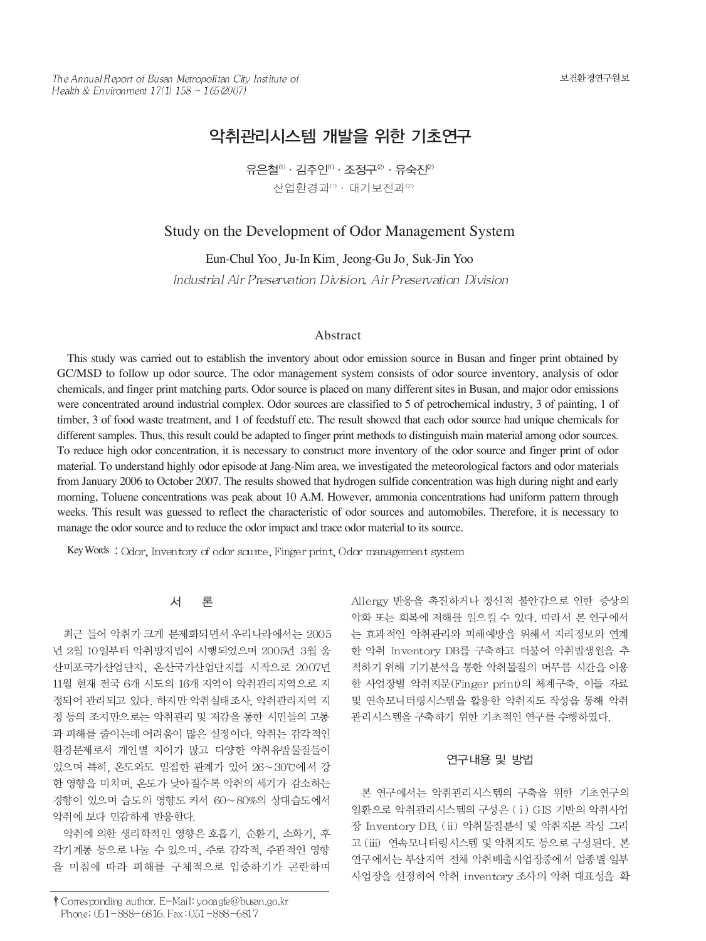# 악취관리시스템 개발을 위한 기초연구

유은철(1) · 김주인(1) · 조정구<sup>2)</sup> · 유숙진<sup>2)</sup> 산업환경과(1) · 대기보전과<sup>(2)</sup>

# Study on the Development of Odor Management System

Eun-Chul Yoo Ju-In Kim Jeong-Gu Jo Suk-Jin Yoo Industrial Air Preservation Division, Air Preservation Division

### Abstract

This study was carried out to establish the inventory about odor emission source in Busan and finger print obtained by GC/MSD to follow up odor source. The odor management system consists of odor source inventory, analysis of odor chemicals, and finger print matching parts. Odor source is placed on many different sites in Busan, and major odor emissions were concentrated around industrial complex. Odor sources are classified to 5 of petrochemical industry, 3 of painting, 1 of timber, 3 of food waste treatment, and 1 of feedstuff etc. The result showed that each odor source had unique chemicals for different samples. Thus, this result could be adapted to finger print methods to distinguish main material among odor sources. To reduce high odor concentration, it is necessary to construct more inventory of the odor source and finger print of odor material. To understand highly odor episode at Jang-Nim area, we investigated the meteorological factors and odor materials from January 2006 to October 2007. The results showed that hydrogen sulfide concentration was high during night and early morning, Toluene concentrations was peak about 10 A.M. However, ammonia concentrations had uniform pattern through weeks. This result was guessed to reflect the characteristic of odor sources and automobiles. Therefore, it is necessary to manage the odor source and to reduce the odor impact and trace odor material to its source.

Key Words: Odor, Inventory of odor source, Finger print, Odor management system

#### 서 异

최근 들어 악취가 크게 문제화되면서 우리나라에서는 2005 년 2월 10일부터 악취방지법이 시행되었으며 2005년 3월 울 산미포국가산업단지, 온산국가산업단지를 시작으로 2007년 11월 현재 전국 6개 시도의 16개 지역이 악취관리지역으로 지 정되어 관리되고 있다. 하지만 악취실태조사, 악취관리지역 지 정 등의 조치만으로는 악취관리 및 저감을 통한 시민들의 고통 과 피해를 줄이는데 어려움이 많은 실정이다. 악취는 감각적인 환경문제로서 개인별 차이가 많고 다양한 악취유발물질들이 있으며 특히, 온도와도 밀접한 관계가 있어 26~30℃에서 강 한 영향을 미치며, 온도가 낮아질수록 악취의 세기가 감소하는 경향이 있으며 습도의 영향도 커서 60~80%의 상대습도에서 악취에 보다 민감하게 반응한다.

악취에 의한 생리학적인 영향은 호흡기, 순환기, 소화기, 후 각기계통 등으로 나눌 수 있으며, 주로 감각적, 주관적인 영향 을 미침에 따라 피해를 구체적으로 입증하기가 곤란하며 Allergy 반응을 촉진하거나 정신적 불안감으로 인한 증상의 악화 또는 회복에 저해를 일으킬 수 있다. 따라서 본 연구에서 는 효과적인 악취관리와 피해예방을 위해서 지리정보와 연계 한 악취 Inventory DB를 구축하고 더불어 악취발생원을 추 적하기 위해 기기분석을 통한 악취물질의 머무름 시간을 이용 한 사업장별 악취지문(Finger print)의 체계구축, 이들 자료 및 연속모니터링시스템을 활용한 악취지도 작성을 통해 악취 관리시스템을 구축하기 위한 기초적인 연구를 수행하였다.

# 연구내용 및 방법

본 연구에서는 악취관리시스템의 구축을 위한 기초연구의 일환으로 악취관리시스템의 구성은 (i) GIS 기반의 악취사업 장 Inventory DB, (ii) 악취물질분석 및 악취지문 작성 그리 고 (iii) 연속모니터링시스템 및 악취지도 등으로 구성된다. 본 연구에서는 부산지역 전체 악취배출사업장중에서 업종별 일부 사업장을 선정하여 악취 inventory 조사의 악취 대표성을 확

<sup>†</sup> Corresponding author. E-Mail: yooagfe@busan.go.kr Phone: 051-888-6816, Fax: 051-888-6817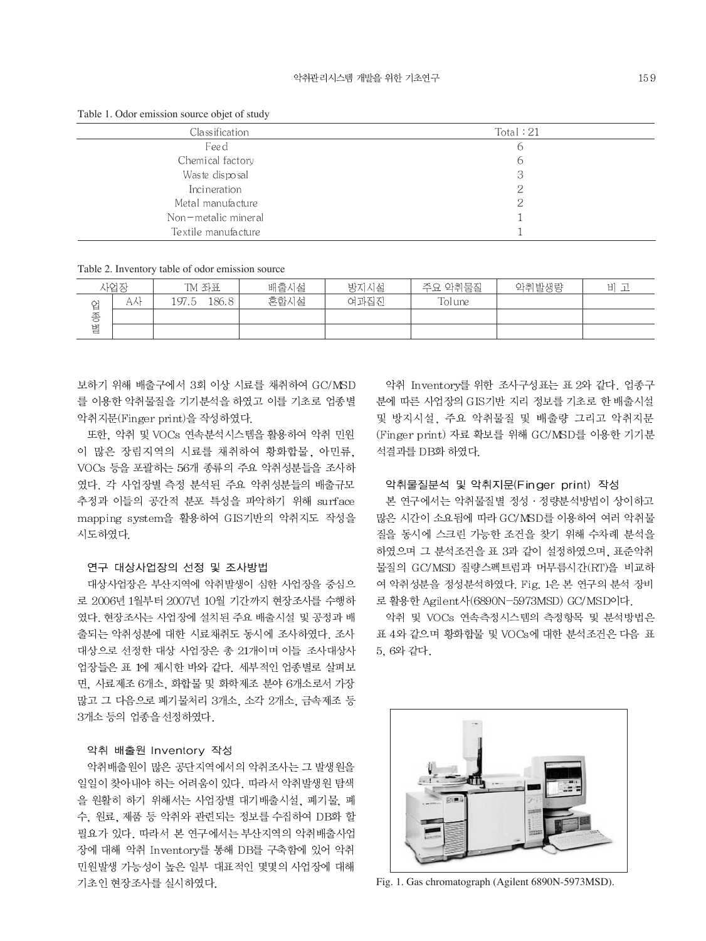Table 1. Odor emission source objet of study

| Classification      | Total:21 |
|---------------------|----------|
| Feed                | 6        |
| Chemical factory    | 6        |
| Was te dispo sal    | 3        |
| Incineration        |          |
| Metal manufacture   |          |
| Non-metalic mineral |          |
| Textile manufacture |          |

Table 2. Inventory table of odor emission source

|   | 사업장                                | TM 좌표                  | 배출시설 | 방지시설 | 악취물질<br>주요 | 악취발생량 | 비<br>مناسب |
|---|------------------------------------|------------------------|------|------|------------|-------|------------|
| 업 | $\rightarrow$ 1<br>AN <sub>1</sub> | .86.8<br>197<br>$\sim$ | 혼합시설 | 여과집진 | Tolune     |       |            |
| 종 |                                    |                        |      |      |            |       |            |
| 별 |                                    |                        |      |      |            |       |            |

보하기 위해 배출구에서 3회 이상 시료를 채취하여 GC/MSD 를 이용한 악취물질을 기기분석을 하였고 이를 기초로 업종별 악취지문(Finger print)을 작성하였다.

또한. 악취 및 VOCs 연속분석시스템을 활용하여 악취 민원 이 많은 장림지역의 시료를 채취하여 황화합물, 아민류, VOCs 등을 포괄하는 56개 종류의 주요 악취성분들을 조사하 였다. 각 사업장별 측정 분석된 주요 악취성분들의 배출규모 추정과 이들의 공간적 분포 특성을 파악하기 위해 surface mapping system을 활용하여 GIS기반의 악취지도 작성을 시도하였다.

# 연구 대상사업장의 선정 및 조사방법

대상사업장은 부산지역에 악취발생이 심한 사업장을 중심으 로 2006년 1월부터 2007년 10월 기간까지 현장조사를 수행하 였다. 현장조사는 사업장에 설치된 주요 배출시설 및 공정과 배 출되는 악취성분에 대한 시료채취도 동시에 조사하였다. 조사 대상으로 선정한 대상 사업장은 총 21개이며 이들 조사대상사 업장들은 표 1에 제시한 바와 같다. 세부적인 업종별로 살펴보 면. 사료제조 6개소. 화합물 및 화학제조 분야 6개소로서 가장 많고 그 다음으로 폐기물처리 3개소, 소각 2개소, 금속제조 등 3개소 등의 업종을 선정하였다.

# 악취 배출원 Inventory 작성

악취배출원이 많은 공단지역에서의 악취조사는 그 발생원을 일일이 찾아내야 하는 어려움이 있다. 따라서 악취발생원 탐색 을 원활히 하기 위해서는 사업장별 대기배출시설, 폐기물, 폐 수, 원료, 제품 등 악취와 관련되는 정보를 수집하여 DB화 할 필요가 있다. 따라서 본 연구에서는 부산지역의 악취배출사업 장에 대해 악취 Inventory를 통해 DB를 구축함에 있어 악취 민원발생 가능성이 높은 일부 대표적인 몇몇의 사업장에 대해 기초인 현장조사를 실시하였다.

악취 Inventory를 위한 조사구성표는 표 2와 같다. 업종구 분에 따른 사업장의 GIS기반 지리 정보를 기초로 한 배출시설 및 방지시설, 주요 악취물질 및 배출량 그리고 악취지문 (Finger print) 자료 확보를 위해 GC/MSD를 이용한 기기분 석결과를 DB화 하였다.

# 악취물질분석 및 악취지문(Finger print) 작성

본 연구에서는 악취물질별 정성 · 정량분석방법이 상이하고 많은 시간이 소요됨에 따라 GC/MSD를 이용하여 여러 악취물 질을 동시에 스크린 가능한 조건을 찾기 위해 수차례 분석을 하였으며 그 분석조건을 표 3과 같이 설정하였으며, 표준악취 물질의 GC/MSD 질량스펙트럼과 머무름시간(RT)을 비교하 여 악취성분을 정성분석하였다. Fig. 1은 본 연구의 분석 장비 로 활용한 Agilent사(6890N-5973MSD) GC/MSD이다.

악취 및 VOCs 연속측정시스템의 측정항목 및 분석방법은 표 4와 같으며 황화합물 및 VOCs에 대한 분석조건은 다음 표 5, 6와 같다.



Fig. 1. Gas chromatograph (Agilent 6890N-5973MSD).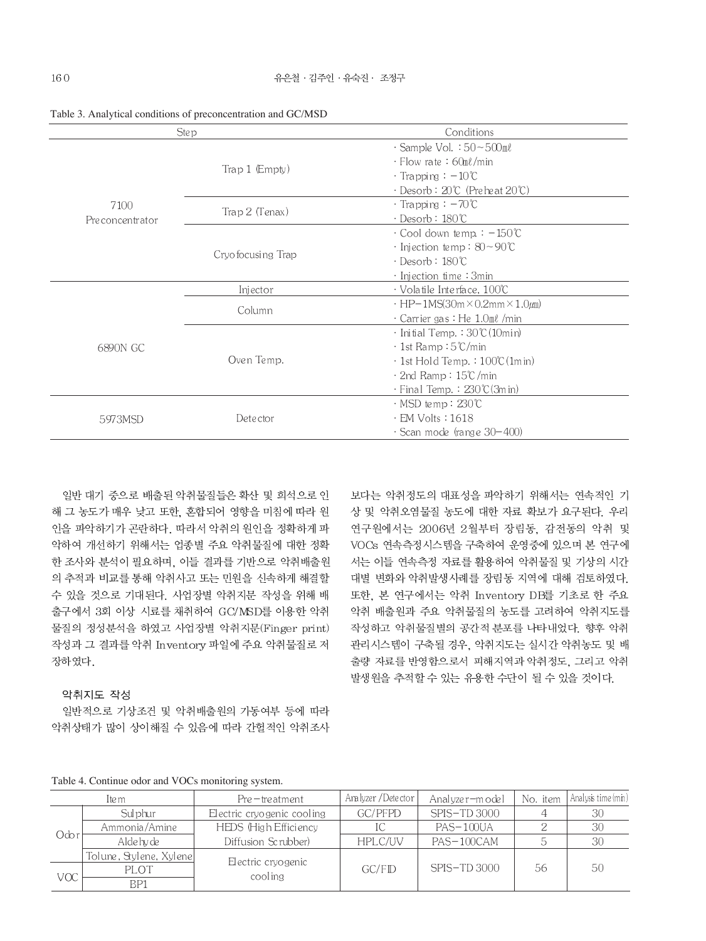|                 | <b>Step</b>       | Conditions                                              |  |  |
|-----------------|-------------------|---------------------------------------------------------|--|--|
|                 |                   | $\cdot$ Sample Vol. $:50\sim500$ ml                     |  |  |
|                 |                   | $\cdot$ Flow rate: 60ml/min                             |  |  |
|                 | Trap 1 (Empty)    | $\cdot$ Trapping : $-10^{\circ}$ C                      |  |  |
|                 |                   | · Desorb : 20℃ (Pre heat 20℃)                           |  |  |
| 7100            | Trap 2 (Tenax)    | $\cdot$ Trapping : $-70^{\circ}$ C                      |  |  |
| Preconcentrator |                   | · Desorb∶180℃                                           |  |  |
|                 |                   | $\cdot$ Cool down temp. : $-150^{\circ}$ C              |  |  |
|                 | Cryofocusing Trap | $\cdot$ Injection temp: $80 \sim 90^{\circ}$ C          |  |  |
|                 |                   | · Desorb∶180℃                                           |  |  |
|                 |                   | $\cdot$ Injection time : 3min                           |  |  |
|                 | Injector          | $\cdot$ Volatile Interface, 100°C                       |  |  |
|                 | Column            | $\cdot$ HP-1MS(30m $\times$ 0.2mm $\times$ 1.0 $\mu$ m) |  |  |
|                 |                   | $\cdot$ Carrier gas : He $1.0$ m $\ell$ /min            |  |  |
|                 |                   | · Initial Temp.: 30℃(10min)                             |  |  |
| 6890N GC        |                   | $\cdot$ 1st Ramp ∶5℃/min                                |  |  |
|                 | Oven Temp.        | $\cdot$ 1st Hold Temp. : 100°C (1m in)                  |  |  |
|                 |                   | · 2nd Ramp : 15℃/min                                    |  |  |
|                 |                   | · Final Temp. : 230℃(3m in)                             |  |  |
|                 |                   | $\cdot$ MSD temp: 230°C                                 |  |  |
| 5973MSD         | Detector          | $\cdot$ EM Volts : 1618                                 |  |  |
|                 |                   | $\cdot$ Scan mode (range 30-400)                        |  |  |

Table 3. Analytical conditions of preconcentration and GC/MSD

일반 대기 중으로 배출된 악취물질들은 확산 및 희석으로 인 해 그 농도가 매우 낮고 또한, 혼합되어 영향을 미침에 따라 원 인을 파악하기가 곤란하다. 따라서 악취의 원인을 정확하게 파 악하여 개선하기 위해서는 업종별 주요 악취물질에 대한 정확 한 조사와 분석이 필요하며, 이들 결과를 기반으로 악취배출원 의 추적과 비교를 통해 악취사고 또는 민원을 신속하게 해결할 수 있을 것으로 기대된다. 사업장별 악취지문 작성을 위해 배 출구에서 3회 이상 시료를 채취하여 GC/MSD를 이용한 악취 물질의 정성분석을 하였고 사업장별 악취지문(Finger print) 작성과 그 결과를 악취 Inventory 파일에 주요 악취물질로 저 장하였다.

# 악취지도 작성

일반적으로 기상조건 및 악취배출원의 가동여부 등에 따라 악취상태가 많이 상이해질 수 있음에 따라 간헐적인 악취조사 보다는 악취정도의 대표성을 파악하기 위해서는 연속적인 기 상 및 악취오염물질 농도에 대한 자료 확보가 요구된다. 우리 연구원에서는 2006년 2월부터 장림동, 감전동의 악취 및 VOCs 연속측정시스템을 구축하여 운영중에 있으며 본 연구에 서는 이들 연속측정 자료를 활용하여 악취물질 및 기상의 시간 대별 변화와 악취발생사례를 장림동 지역에 대해 검토하였다. 또한, 본 연구에서는 악취 Inventory DB를 기초로 한 주요 악취 배출원과 주요 악취물질의 농도를 고려하여 악취지도를 작성하고 악취물질별의 공간적 분포를 나타내었다. 향후 악취 관리시스템이 구축될 경우, 악취지도는 실시간 악취농도 및 배 출량 자료를 반영함으로서 피해지역과 악취정도, 그리고 악취 발생원을 추적할 수 있는 유용한 수단이 될 수 있을 것이다.

| Table 4. Continue odor and VOCs monitoring system |  |  |
|---------------------------------------------------|--|--|
|---------------------------------------------------|--|--|

| Ite m      |                         | $Pre - treatment$          | Analyzer / Detector | Analyzer-model | No. item | Analysis time (min) |
|------------|-------------------------|----------------------------|---------------------|----------------|----------|---------------------|
|            | Sulphur                 | Electric cryogenic cooling | GC/PFPD             | SPIS-TD 3000   |          | 30                  |
| Odor       | Ammonia/Amine           | HEDS (High Efficiency      |                     | PAS-100UA      |          | 30                  |
|            | Alde hy de              | Diffusion Scrubber)        | HPLC/UV             | PAS-100CAM     |          | 30                  |
|            | Tolune, Stylene, Xylene | El ectric cryo genic       | GC/FD               | $SPIS-TD3000$  | 56       | 50                  |
| <b>VOC</b> | PLOT                    | cooling                    |                     |                |          |                     |
|            | BP1                     |                            |                     |                |          |                     |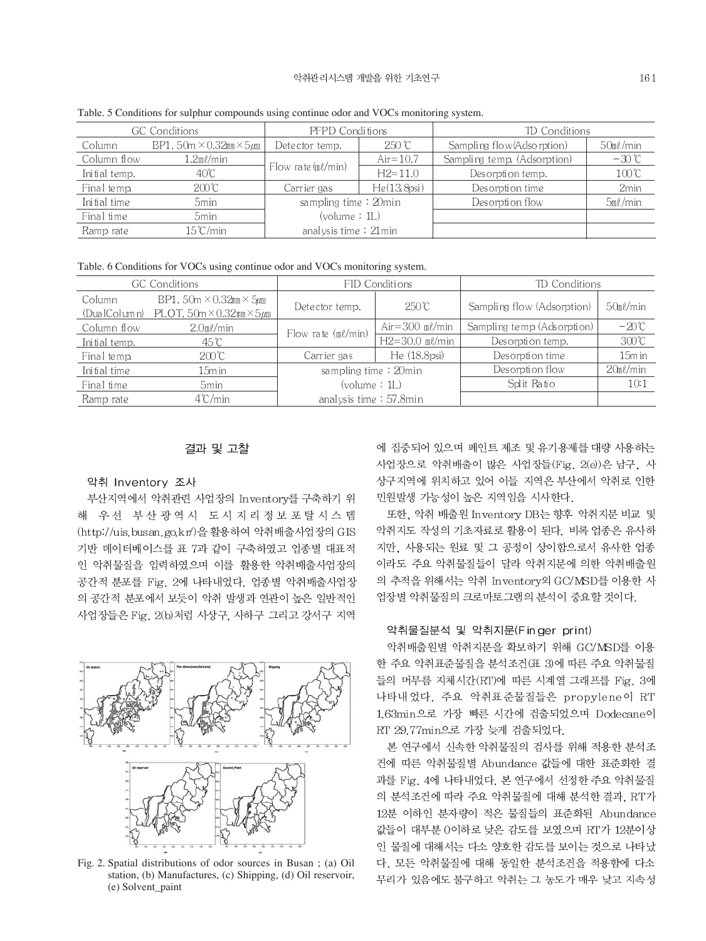| <b>GC</b> Conditions |                                             | PFPD Conditions          |               | TD Conditions               |                  |
|----------------------|---------------------------------------------|--------------------------|---------------|-----------------------------|------------------|
| Column               | BP1, 50m $\times$ 0.32mm $\times$ 5 $\mu$ m | Detector temp.           | $250^\circ$ C | Sampling flow (Adsorption)  | $50m\ell/min$    |
| Column flow          | $1.2$ ml/min                                | Flow rate $(m\ell/min)$  | $Air=10.7$    | Sampling temp. (Adsorption) | $-30^{\circ}$ C  |
| Initial temp.        | $40^{\circ}$ C                              |                          | $H2 = 11.0$   | Desorption temp.            | $100^{\circ}$ C  |
| Final temp.          | 200°C                                       | Carrier gas              | He(13.8psi)   | Desorption time             | 2 <sub>min</sub> |
| Initial time         | 5 <sub>min</sub>                            | sampling time: 20min     |               | Desorption flow             | $5m\ell$ /min    |
| Final time           | 5 <sub>min</sub>                            | (volume : IL)            |               |                             |                  |
| Ramp rate            | 15℃/min.                                    | analysis time $: 21$ min |               |                             |                  |

Table. 5 Conditions for sulphur compounds using continue odor and VOCs monitoring system.

Table. 6 Conditions for VOCs using continue odor and VOCs monitoring system.

| <b>GC</b> Conditions   |                                                                                         | FID Conditions          |                    | TD Conditions              |                |
|------------------------|-----------------------------------------------------------------------------------------|-------------------------|--------------------|----------------------------|----------------|
| Column<br>(DualColumn) | BP1, 50m $\times$ 0.32mm $\times$ 5 $\mu$ m<br>PLOT, $50m \times 0.32mm \times 5 \mu m$ | Detector temp.          | $250^{\circ}$ C    | Sampling flow (Adsorption) | $50m\ell/min$  |
| Column flow            | $2.0$ m $\ell$ /min                                                                     | Flow rate $(m\ell/min)$ | Air= $300$ ml/min  | Sampling temp (Adsorption) | $-20^{\circ}C$ |
| Initial temp.          | 45°C                                                                                    |                         | $H2 = 30.0$ ml/min | Desorption temp.           | 300C           |
| Final temp.            | 200C                                                                                    | Carrier gas             | He(18.8psi)        | Desorption time            | 15m in         |
| Initial time           | $15m$ in                                                                                | sampling time: 20min    |                    | Desorption flow            | $20m\ell/min$  |
| Final time             | 5 <sub>min</sub>                                                                        | (volume : 1L)           |                    | Split Ratio                | 10:1           |
| Ramp rate              | $4^{\circ}$ C/min                                                                       | analysis time: 57.8min  |                    |                            |                |

# 결과 및 고찰

#### 악취 Inventory 조사

부산지역에서 악취관련 사업장의 Inventory를 구축하기 위 해 우선 부산광역시 도시지리정보포탈시스템 (http://uis.busan.go.kr/)을 활용하여 악취배출사업장의 GIS 기반 데이터베이스를 표 7과 같이 구축하였고 업종별 대표적 인 악취물질을 입력하였으며 이를 활용한 악취배출사업장의 공간적 분포를 Fig. 2에 나타내었다. 업종별 악취배출사업장 의 공간적 분포에서 보듯이 악취 발생과 연관이 높은 일반적인 사업장들은 Fig. 2(b)처럼 사상구, 사하구 그리고 강서구 지역



Fig. 2. Spatial distributions of odor sources in Busan; (a) Oil station, (b) Manufactures, (c) Shipping, (d) Oil reservoir, (e) Solvent\_paint

에 집중되어 있으며 페인트 제조 및 유기용제를 대량 사용하는 사업장으로 악취배출이 많은 사업장들(Fig. 2(e))은 남구, 사 상구지역에 위치하고 있어 이들 지역은 부산에서 악취로 인한 민원발생 가능성이 높은 지역임을 시사한다.

또한, 악취 배출원 Inventory DB는 향후 악취지문 비교 및 악취지도 작성의 기초자료로 활용이 된다. 비록 업종은 유사하 지만, 사용되는 원료 및 그 공정이 상이함으로서 유사한 업종 이라도 주요 악취물질들이 달라 악취지문에 의한 악취배출원 의 추적을 위해서는 악취 Inventory외 GC/MSD를 이용한 사 업장별 악취물질의 크로마토그램의 분석이 중요할 것이다.

#### 악취물질분석 및 악취지문(Finger print)

악취배출원별 악취지문을 확보하기 위해 GC/MSD를 이용 한 주요 악취표준물질을 분석조건 (표 3)에 따른 주요 악취물질 들의 머무름 지체시간(RT)에 따른 시계열 그래프를 Fig. 3에 나타내었다. 주요 악취표준물질들은 propylene이 RT 1.63min으로 가장 빠른 시간에 검출되었으며 Dodecane이 RT 29.77min으로 가장 늦게 검출되었다.

본 연구에서 신속한 악취물질의 검사를 위해 적용한 분석조 건에 따른 악취물질별 Abundance 값들에 대한 표준화한 결 과를 Fig. 4에 나타내었다. 본 연구에서 선정한 주요 악취물질 의 분석조건에 따라 주요 악취물질에 대해 분석한 결과, RT가 12분 이하인 분자량이 적은 물질들의 표준화된 Abundance 값들이 대부분 0이하로 낮은 감도를 보였으며 RT가 12분이상 인 물질에 대해서는 다소 양호한 감도를 보이는 것으로 나타났 다. 모든 악취물질에 대해 동일한 분석조건을 적용함에 다소 무리가 있음에도 불구하고 악취는 그 농도가 매우 낮고 지속성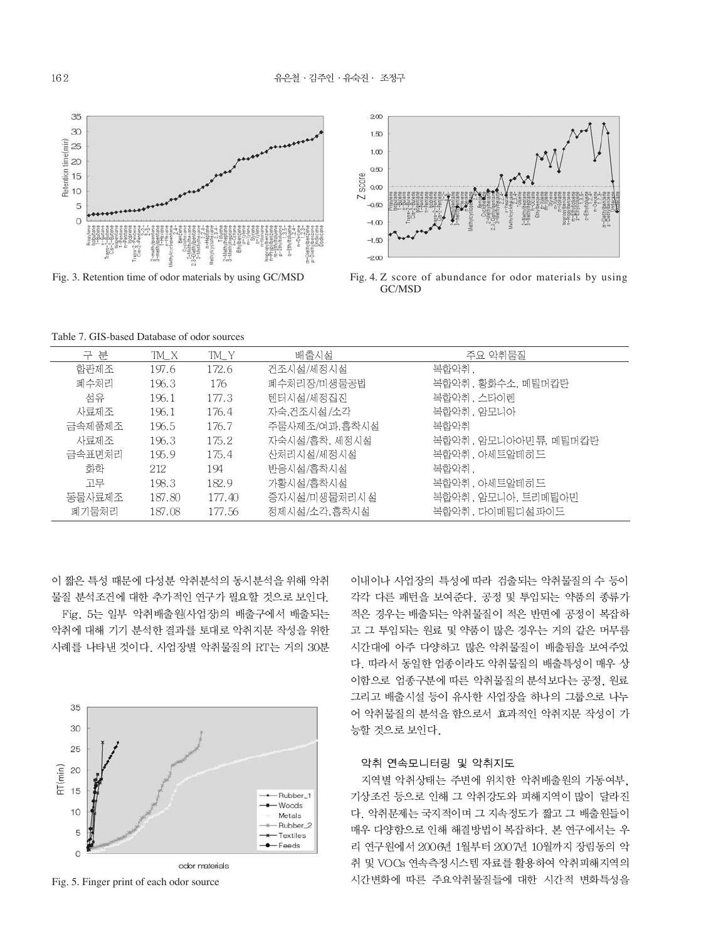

Fig. 3. Retention time of odor materials by using GC/MSD



Fig. 4. Z score of abundance for odor materials by using GC/MSD

Table 7. GIS-based Database of odor sources

| 구 분    | TM X   | TM Y   | 배출시설          | 주요 악취물질              |
|--------|--------|--------|---------------|----------------------|
| 합판제조   | 197.6  | 172.6  | 건조시설/세정시설     | 복합악취,                |
| 폐수처리   | 196.3  | 176    | 폐수처리장/미생물공법   | 복합악취, 황화수소, 메틸머캅탄    |
| 섬유     | 196.1  | 177.3  | 텐터시설/세정집진     | 복합악취, 스타이렌           |
| 사료제조   | 196.1  | 176.4  | 자숙.건조시설/소각    | 복합악취, 암모니아           |
| 금속제품제조 | 196.5  | 176.7  | 주물사제조/여과,흠착시설 | 복합악취                 |
| 사료제조   | 196.3  | 175.2  | 자숙시설/흡착, 세정시설 | 복합악취, 암모니아아민류, 메틸머캅탄 |
| 금속표면처리 | 195.9  | 175.4  | 산처리시설/세정시설    | 복합악취, 아세트알데히드        |
| 화학     | 212    | 194    | 반응시설/홍착시설     | 복합악취.                |
| 고무     | 198.3  | 182.9  | 가황시설/흡착시설     | 복합악취, 아세트알데히 드       |
| 동물사료제조 | 187.80 | 177.40 | 증자시설/미생물처리시설  | 복합악취, 암모니아, 트리메틸아민   |
| 폐기물처리  | 187.08 | 177.56 | 정제시설/소각,흡착시설  | 복합악취 . 다이메틸디설 파이드    |
|        |        |        |               |                      |

이 짧은 특성 때문에 다성분 악취분석의 동시분석을 위해 악취 물질 분석조건에 대한 추가적인 연구가 필요할 것으로 보인다. Fig. 5는 일부 악취배출원(사업장)의 배출구에서 배출되는 악취에 대해 기기 분석한 결과를 토대로 악취지문 작성을 위한 사례를 나타낸 것이다. 사업장별 악취물질의 RT는 거의 30분



Fig. 5. Finger print of each odor source

이내이나 사업장의 특성에 따라 검출되는 악취물질의 수 등이 각각 다른 패턴을 보여준다. 공정 및 투입되는 약품의 종류가 적은 경우는 배출되는 악취물질이 적은 반면에 공정이 복잡하 고 그 투입되는 원료 및 약품이 많은 경우는 거의 같은 머무름 시간대에 아주 다양하고 많은 악취물질이 배출됨을 보여주었 다. 따라서 동일한 업종이라도 악취물질의 배출특성이 매우 상 이함으로 업종구분에 따른 악취물질의 분석보다는 공정, 원료 그리고 배출시설 등이 유사한 사업장을 하나의 그룹으로 나누 어 악취물질의 분석을 함으로서 효과적인 악취지문 작성이 가 능할 것으로 보인다.

# 악취 연속모니터링 및 악취지도

지역별 악취상태는 주변에 위치한 악취배출원의 가동여부, 기상조건 등으로 인해 그 악취강도와 피해지역이 많이 달라진 다. 악취문제는 국지적이며 그 지속정도가 짧고 그 배출원들이 매우 다양함으로 인해 해결방법이 복잡하다. 본 연구에서는 우 리 연구원에서 2006년 1월부터 2007년 10월까지 장림동의 악 취 및 VOCs 연속측정시스템 자료를 활용하여 악취피해지역의 시간변화에 따른 주요악취물질들에 대한 시간적 변화특성을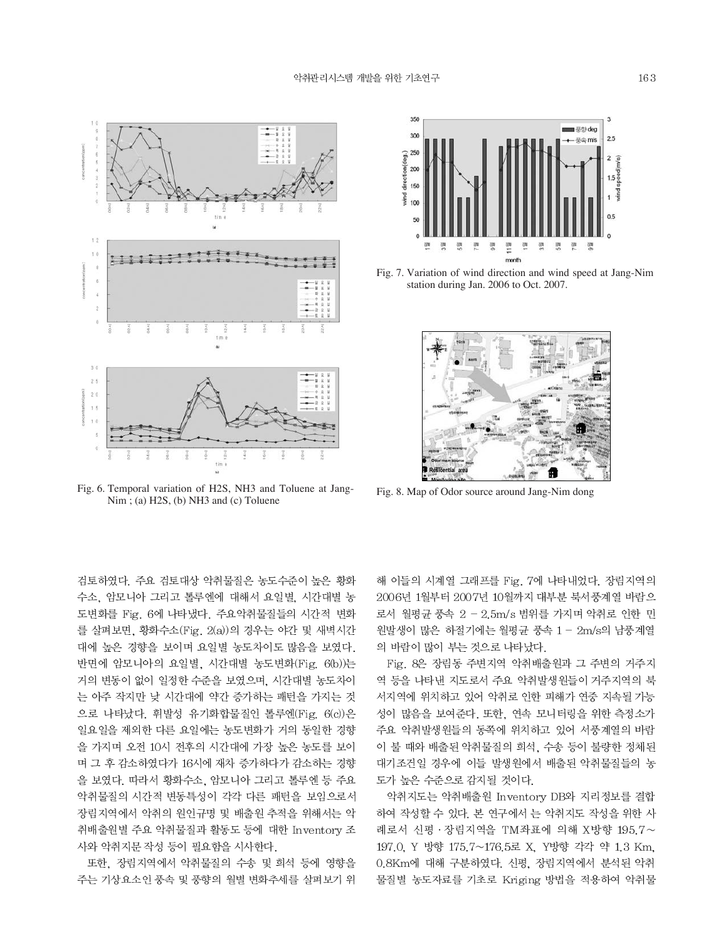

Fig. 6. Temporal variation of H2S, NH3 and Toluene at Jang-Nim ; (a) H2S, (b) NH3 and (c) Toluene

검토하였다. 주요 검토대상 악취물질은 농도수준이 높은 황화 수소, 암모니아 그리고 톨루엔에 대해서 요일별, 시간대별 농 도변화를 Fig. 6에 나타냈다. 주요악취물질들의 시간적 변화 를 살펴보면, 황화수소(Fig. 2(a))의 경우는 야간 및 새벽시간 대에 높은 경향을 보이며 요일별 농도차이도 많음을 보였다. 반면에 암모니아의 요일별, 시간대별 농도변화(Fig. 6(b))는 거의 변동이 없이 일정한 수준을 보였으며, 시간대별 농도차이 는 아주 작지만 낮 시간대에 약간 증가하는 패턴을 가지는 것 으로 나타났다. 휘발성 유기화합물질인 톨루엔(Fig. 6(c))은 일요일을 제외한 다른 요일에는 농도변화가 거의 동일한 경향 을 가지며 오전 10시 전후의 시간대에 가장 높은 농도를 보이 며 그 후 감소하였다가 16시에 재차 증가하다가 감소하는 경향 을 보였다. 따라서 황화수소. 암모니아 그리고 톨루엔 등 주요 악취물질의 시간적 변동특성이 각각 다른 패턴을 보임으로서 장림지역에서 악취의 원인규명 및 배출원 추적을 위해서는 악 취배출원별 주요 악취물질과 활동도 등에 대한 Inventory 조 사와 악취지문 작성 등이 필요함을 시사한다.

또한, 장림지역에서 악취물질의 수송 및 희석 등에 영향을 주는 기상요소인 풍속 및 풍향의 월별 변화추세를 살펴보기 위



Fig. 7. Variation of wind direction and wind speed at Jang-Nim station during Jan. 2006 to Oct. 2007.



Fig. 8. Map of Odor source around Jang-Nim dong

해 이들의 시계열 그래프를 Fig. 7에 나타내었다. 장림지역의 2006년 1월부터 2007년 10월까지 대부분 북서풍계열 바람으 로서 월평균 풍속 2 - 2.5m/s 범위를 가지며 악취로 인한 민 원발생이 많은 하절기에는 월평균 풍속 1 - 2m/s의 남풍계열 의 바람이 많이 부는 것으로 나타났다.

Fig. 8은 장림동 주변지역 악취배출원과 그 주변의 거주지 역 등을 나타낸 지도로서 주요 악취발생원들이 거주지역의 북 서지역에 위치하고 있어 악취로 인한 피해가 연중 지속될 가능 성이 많음을 보여준다. 또한, 연속 모니터링을 위한 측정소가 주요 악취발생원들의 동쪽에 위치하고 있어 서풍계열의 바람 이 불 때와 배출된 악취물질의 희석, 수송 등이 불량한 정체된 대기조건일 경우에 이들 발생원에서 배출된 악취물질들의 농 도가 높은 수준으로 감지될 것이다.

악취지도는 악취배출원 Inventory DB와 지리정보를 결합 하여 작성할 수 있다. 본 연구에서 는 악취지도 작성을 위한 사 례로서 신평 · 장림지역을 TM좌표에 의해 X방향 195.7~ 197.0, Y 방향 175.7~176.5로 X, Y방향 각각 약 1.3 Km, 0.8Km에 대해 구분하였다. 신평, 장림지역에서 분석된 악취 물질별 농도자료를 기초로 Kriging 방법을 적용하여 악취물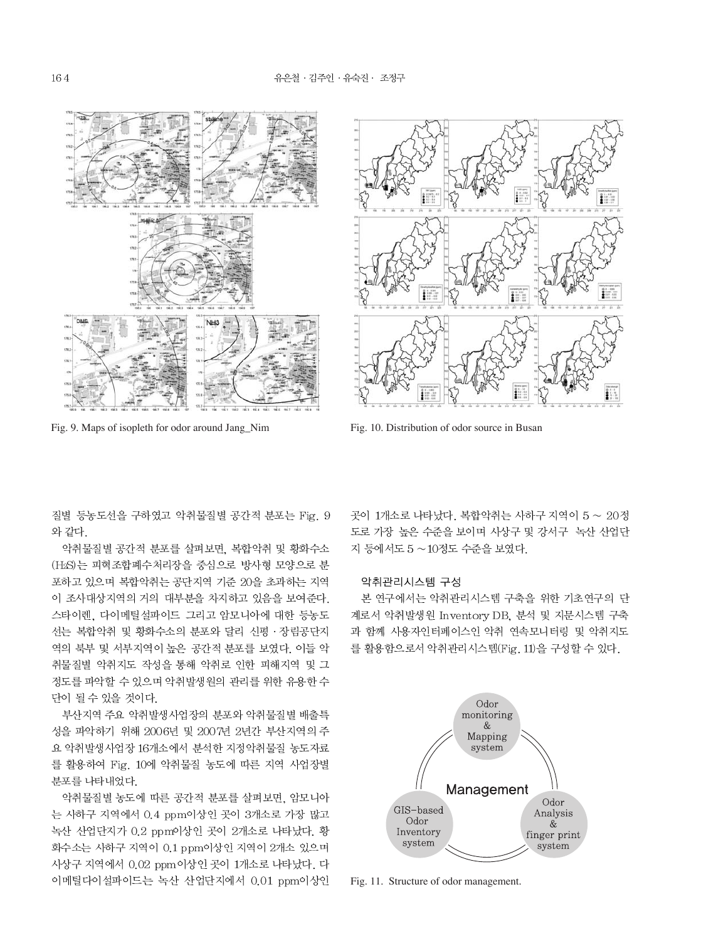

Fig. 9. Maps of isopleth for odor around Jang\_Nim Fig. 10. Distribution of odor source in Busan



질별 등농도선을 구하였고 악취물질별 공간적 분포는 Fig. 9 와 같다.

악취물질별 공간적 분포를 살펴보면, 복합악취 및 황화수소 (H2S)는 피혁조합폐수처리장을 중심으로 방사형 모양으로 분 포하고 있으며 복합악취는 공단지역 기준 20을 초과하는 지역 이 조사대상지역의 거의 대부분을 차지하고 있음을 보여준다. 스타이렌, 다이메틸설파이드 그리고 암모니아에 대한 등농도 선는 복합악취 및 황화수소의 분포와 달리 신평 · 장림공단지 역의 북부 및 서부지역이 높은 공간적 분포를 보였다. 이들 악 취물질별 악취지도 작성을 통해 악취로 인한 피해지역 및 그 정도를 파악할 수 있으며 악취발생원의 관리를 위한 유용한 수 단이 될 수 있을 것이다.

부산지역 주요 악취발생사업장의 분포와 악취물질별 배출특 성을 파악하기 위해 2006년 및 2007년 2년간 부산지역의 주 요 악취발생사업장 16개소에서 분석한 지정악취물질 농도자료 를 활용하여 Fig. 10에 악취물질 농도에 따른 지역 사업장별 분포를 나타내었다.

악취물질별 농도에 따른 공간적 분포를 살펴보면, 암모니아 는 사하구 지역에서 0.4 ppm이상인 곳이 3개소로 가장 많고 녹산 산업단지가 0.2 ppm이상인 곳이 2개소로 나타났다. 황 화수소는 사하구 지역이 0.1 ppm이상인 지역이 2개소 있으며 사상구 지역에서 0.02 ppm이상인 곳이 1개소로 나타났다. 다 이메틸다이설파이드는 녹산 산업단지에서 0.01 ppm이상인 곳이 1개소로 나타났다. 복합악취는 사하구 지역이 5 ~ 20정 도로 가장 높은 수준을 보이며 사상구 및 강서구 녹산 산업단 지 등에서도 5 ~10정도 수준을 보였다.

# 악취관리시스템 구성

본 연구에서는 악취관리시스템 구축을 위한 기초연구의 단 계로서 악취발생원 Inventory DB, 분석 및 지문시스템 구축 과 함께 사용자인터페이스인 악취 연속모니터링 및 악취지도 를 활용함으로서 악취관리시스템(Fig. 11)을 구성할 수 있다.



Fig. 11. Structure of odor management.